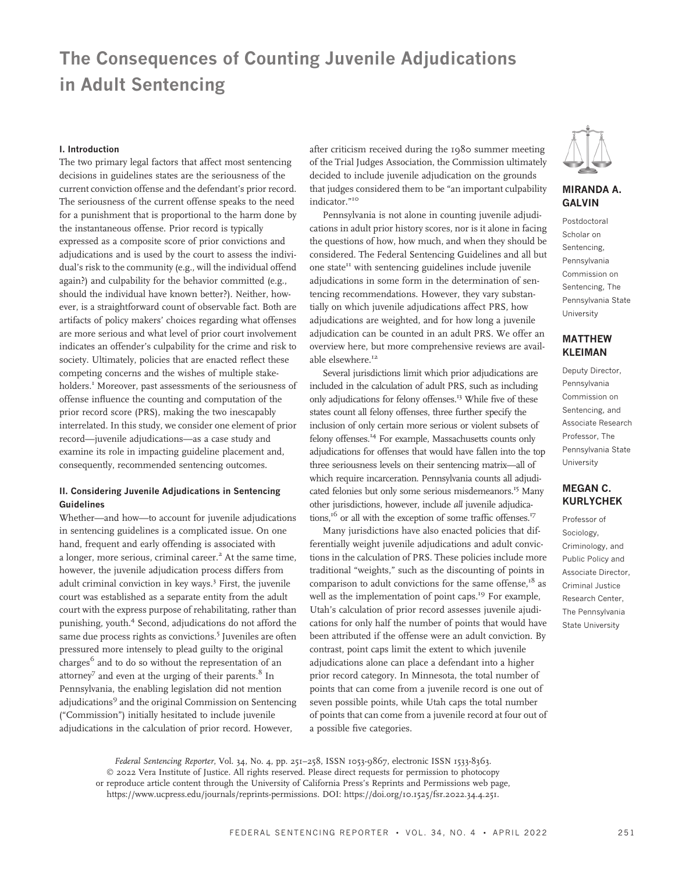# The Consequences of Counting Juvenile Adjudications in Adult Sentencing

#### I. Introduction

The two primary legal factors that affect most sentencing decisions in guidelines states are the seriousness of the current conviction offense and the defendant's prior record. The seriousness of the current offense speaks to the need for a punishment that is proportional to the harm done by the instantaneous offense. Prior record is typically expressed as a composite score of prior convictions and adjudications and is used by the court to assess the individual's risk to the community (e.g., will the individual offend again?) and culpability for the behavior committed (e.g., should the individual have known better?). Neither, however, is a straightforward count of observable fact. Both are artifacts of policy makers' choices regarding what offenses are more serious and what level of prior court involvement indicates an offender's culpability for the crime and risk to society. Ultimately, policies that are enacted reflect these competing concerns and the wishes of multiple stakeholders.<sup>1</sup> Moreover, past assessments of the seriousness of offense influence the counting and computation of the prior record score (PRS), making the two inescapably interrelated. In this study, we consider one element of prior record—juvenile adjudications—as a case study and examine its role in impacting guideline placement and, consequently, recommended sentencing outcomes.

## II. Considering Juvenile Adjudications in Sentencing Guidelines

Whether—and how—to account for juvenile adjudications in sentencing guidelines is a complicated issue. On one hand, frequent and early offending is associated with a longer, more serious, criminal career.<sup>2</sup> At the same time, however, the juvenile adjudication process differs from adult criminal conviction in key ways.<sup>3</sup> First, the juvenile court was established as a separate entity from the adult court with the express purpose of rehabilitating, rather than punishing, youth.4 Second, adjudications do not afford the same due process rights as convictions.<sup>5</sup> Juveniles are often pressured more intensely to plead guilty to the original charges $^6$  and to do so without the representation of an attorney<sup>7</sup> and even at the urging of their parents. $8 \text{ In}$ Pennsylvania, the enabling legislation did not mention adjudications<sup>9</sup> and the original Commission on Sentencing ("Commission") initially hesitated to include juvenile adjudications in the calculation of prior record. However,

after criticism received during the 1980 summer meeting of the Trial Judges Association, the Commission ultimately decided to include juvenile adjudication on the grounds that judges considered them to be "an important culpability indicator."<sup>10</sup>

Pennsylvania is not alone in counting juvenile adjudications in adult prior history scores, nor is it alone in facing the questions of how, how much, and when they should be considered. The Federal Sentencing Guidelines and all but one state $I<sup>II</sup>$  with sentencing guidelines include juvenile adjudications in some form in the determination of sentencing recommendations. However, they vary substantially on which juvenile adjudications affect PRS, how adjudications are weighted, and for how long a juvenile adjudication can be counted in an adult PRS. We offer an overview here, but more comprehensive reviews are available elsewhere.<sup>12</sup>

Several jurisdictions limit which prior adjudications are included in the calculation of adult PRS, such as including only adjudications for felony offenses.<sup>13</sup> While five of these states count all felony offenses, three further specify the inclusion of only certain more serious or violent subsets of felony offenses.14 For example, Massachusetts counts only adjudications for offenses that would have fallen into the top three seriousness levels on their sentencing matrix—all of which require incarceration. Pennsylvania counts all adjudicated felonies but only some serious misdemeanors.<sup>15</sup> Many other jurisdictions, however, include all juvenile adjudications,<sup>16</sup> or all with the exception of some traffic offenses.<sup>17</sup>

Many jurisdictions have also enacted policies that differentially weight juvenile adjudications and adult convictions in the calculation of PRS. These policies include more traditional "weights," such as the discounting of points in comparison to adult convictions for the same offense, $18$  as well as the implementation of point caps.<sup>19</sup> For example, Utah's calculation of prior record assesses juvenile ajudications for only half the number of points that would have been attributed if the offense were an adult conviction. By contrast, point caps limit the extent to which juvenile adjudications alone can place a defendant into a higher prior record category. In Minnesota, the total number of points that can come from a juvenile record is one out of seven possible points, while Utah caps the total number of points that can come from a juvenile record at four out of a possible five categories.



## MIRANDA A. GALVIN

Postdoctoral Scholar on Sentencing, Pennsylvania Commission on Sentencing, The Pennsylvania State University

## MATTHEW KLEIMAN

Deputy Director, Pennsylvania Commission on Sentencing, and Associate Research Professor, The Pennsylvania State University

# MEGAN C. KURLYCHEK

Professor of Sociology, Criminology, and Public Policy and Associate Director, Criminal Justice Research Center, The Pennsylvania State University

Federal Sentencing Reporter, Vol. 34, No. 4, pp. 251–258, ISSN 1053-9867, electronic ISSN 1533-8363. © 2022 Vera Institute of Justice. All rights reserved. Please direct requests for permission to photocopy or reproduce article content through the University of California Press's Reprints and Permissions web page, https://www.ucpress.edu/journals/reprints-permissions. [DOI: https://doi.org/10.1525/fsr.2022.34.4.251.](https://doi.org/10.1525/fsr.2022.34.4.251.)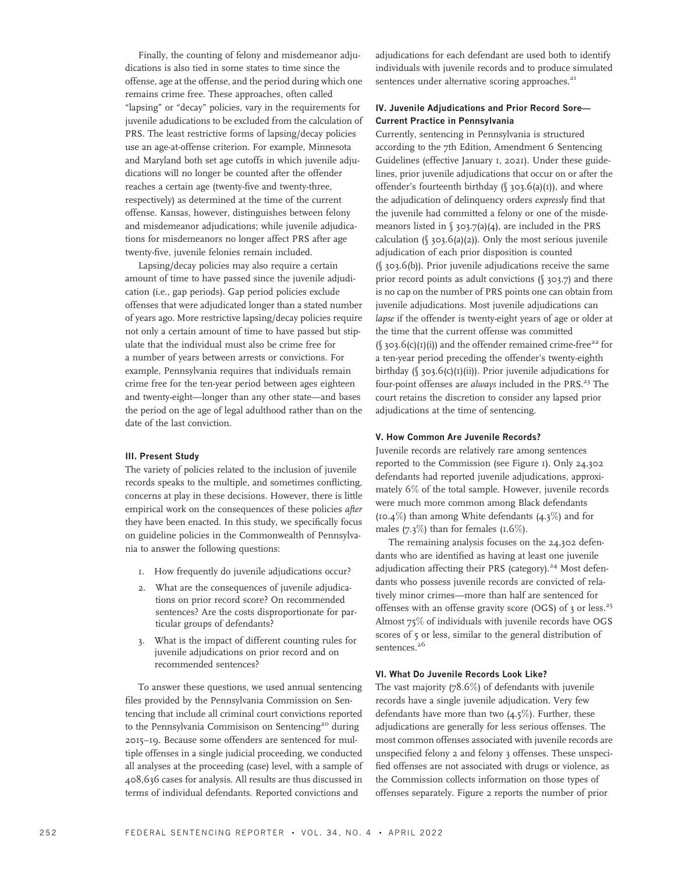Finally, the counting of felony and misdemeanor adjudications is also tied in some states to time since the offense, age at the offense, and the period during which one remains crime free. These approaches, often called "lapsing" or "decay" policies, vary in the requirements for juvenile adudications to be excluded from the calculation of PRS. The least restrictive forms of lapsing/decay policies use an age-at-offense criterion. For example, Minnesota and Maryland both set age cutoffs in which juvenile adjudications will no longer be counted after the offender reaches a certain age (twenty-five and twenty-three, respectively) as determined at the time of the current offense. Kansas, however, distinguishes between felony and misdemeanor adjudications; while juvenile adjudications for misdemeanors no longer affect PRS after age twenty-five, juvenile felonies remain included.

Lapsing/decay policies may also require a certain amount of time to have passed since the juvenile adjudication (i.e., gap periods). Gap period policies exclude offenses that were adjudicated longer than a stated number of years ago. More restrictive lapsing/decay policies require not only a certain amount of time to have passed but stipulate that the individual must also be crime free for a number of years between arrests or convictions. For example, Pennsylvania requires that individuals remain crime free for the ten-year period between ages eighteen and twenty-eight—longer than any other state—and bases the period on the age of legal adulthood rather than on the date of the last conviction.

## III. Present Study

The variety of policies related to the inclusion of juvenile records speaks to the multiple, and sometimes conflicting, concerns at play in these decisions. However, there is little empirical work on the consequences of these policies after they have been enacted. In this study, we specifically focus on guideline policies in the Commonwealth of Pennsylvania to answer the following questions:

- 1. How frequently do juvenile adjudications occur?
- 2. What are the consequences of juvenile adjudications on prior record score? On recommended sentences? Are the costs disproportionate for particular groups of defendants?
- 3. What is the impact of different counting rules for juvenile adjudications on prior record and on recommended sentences?

To answer these questions, we used annual sentencing files provided by the Pennsylvania Commission on Sentencing that include all criminal court convictions reported to the Pennsylvania Commisison on Sentencing<sup>20</sup> during 2015–19. Because some offenders are sentenced for multiple offenses in a single judicial proceeding, we conducted all analyses at the proceeding (case) level, with a sample of 408,636 cases for analysis. All results are thus discussed in terms of individual defendants. Reported convictions and

adjudications for each defendant are used both to identify individuals with juvenile records and to produce simulated sentences under alternative scoring approaches.<sup>21</sup>

## IV. Juvenile Adjudications and Prior Record Sore— Current Practice in Pennsylvania

Currently, sentencing in Pennsylvania is structured according to the 7th Edition, Amendment 6 Sentencing Guidelines (effective January 1, 2021). Under these guidelines, prior juvenile adjudications that occur on or after the offender's fourteenth birthday ( $\int$  303.6(a)(1)), and where the adjudication of delinquency orders expressly find that the juvenile had committed a felony or one of the misdemeanors listed in  $\sqrt{3}$  303.7(a)(4), are included in the PRS calculation ( $\sqrt{3}$ ,  $\frac{5(2)}{2}$ ). Only the most serious juvenile adjudication of each prior disposition is counted (§ 303.6(b)). Prior juvenile adjudications receive the same prior record points as adult convictions (§ 303.7) and there is no cap on the number of PRS points one can obtain from juvenile adjudications. Most juvenile adjudications can lapse if the offender is twenty-eight years of age or older at the time that the current offense was committed  $(\int 303.6(c)(1)(i))$  and the offender remained crime-free<sup>22</sup> for a ten-year period preceding the offender's twenty-eighth birthday ( $\int$  303.6(c)(I)(ii)). Prior juvenile adjudications for four-point offenses are always included in the PRS.<sup>23</sup> The court retains the discretion to consider any lapsed prior adjudications at the time of sentencing.

### V. How Common Are Juvenile Records?

Juvenile records are relatively rare among sentences reported to the Commission (see Figure 1). Only 24,302 defendants had reported juvenile adjudications, approximately 6% of the total sample. However, juvenile records were much more common among Black defendants (10.4%) than among White defendants  $(4.3\%)$  and for males  $(7.3\%)$  than for females  $(1.6\%).$ 

The remaining analysis focuses on the 24,302 defendants who are identified as having at least one juvenile adjudication affecting their PRS (category).<sup>24</sup> Most defendants who possess juvenile records are convicted of relatively minor crimes—more than half are sentenced for offenses with an offense gravity score (OGS) of  $3$  or less.<sup>25</sup> Almost 75% of individuals with juvenile records have OGS scores of 5 or less, similar to the general distribution of sentences.<sup>26</sup>

#### VI. What Do Juvenile Records Look Like?

The vast majority (78.6%) of defendants with juvenile records have a single juvenile adjudication. Very few defendants have more than two  $(4.5\%)$ . Further, these adjudications are generally for less serious offenses. The most common offenses associated with juvenile records are unspecified felony 2 and felony 3 offenses. These unspecified offenses are not associated with drugs or violence, as the Commission collects information on those types of offenses separately. Figure 2 reports the number of prior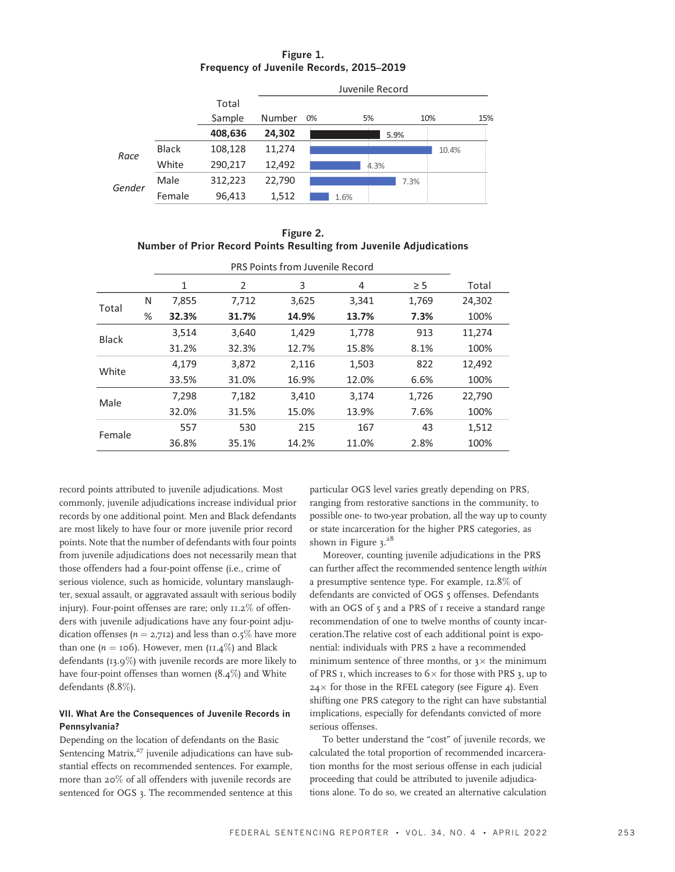## Figure 1. Frequency of Juvenile Records, 2015–2019



Figure 2. Number of Prior Record Points Resulting from Juvenile Adjudications

|        |   | 1     | 2     | 3     | 4     | $\geq$ 5 | Total  |
|--------|---|-------|-------|-------|-------|----------|--------|
| Total  | N | 7,855 | 7,712 | 3,625 | 3,341 | 1,769    | 24,302 |
|        | % | 32.3% | 31.7% | 14.9% | 13.7% | 7.3%     | 100%   |
| Black  |   | 3,514 | 3,640 | 1,429 | 1,778 | 913      | 11,274 |
|        |   | 31.2% | 32.3% | 12.7% | 15.8% | 8.1%     | 100%   |
| White  |   | 4,179 | 3,872 | 2,116 | 1,503 | 822      | 12,492 |
|        |   | 33.5% | 31.0% | 16.9% | 12.0% | 6.6%     | 100%   |
| Male   |   | 7,298 | 7,182 | 3,410 | 3,174 | 1,726    | 22,790 |
|        |   | 32.0% | 31.5% | 15.0% | 13.9% | 7.6%     | 100%   |
|        |   | 557   | 530   | 215   | 167   | 43       | 1,512  |
| Female |   | 36.8% | 35.1% | 14.2% | 11.0% | 2.8%     | 100%   |

record points attributed to juvenile adjudications. Most commonly, juvenile adjudications increase individual prior records by one additional point. Men and Black defendants are most likely to have four or more juvenile prior record points. Note that the number of defendants with four points from juvenile adjudications does not necessarily mean that those offenders had a four-point offense (i.e., crime of serious violence, such as homicide, voluntary manslaughter, sexual assault, or aggravated assault with serious bodily injury). Four-point offenses are rare; only 11.2% of offenders with juvenile adjudications have any four-point adjudication offenses ( $n = 2,712$ ) and less than 0.5% have more than one ( $n = 106$ ). However, men (11.4%) and Black defendants (13.9%) with juvenile records are more likely to have four-point offenses than women (8.4%) and White defendants (8.8%).

## VII. What Are the Consequences of Juvenile Records in Pennsylvania?

Depending on the location of defendants on the Basic Sentencing Matrix,<sup>27</sup> juvenile adjudications can have substantial effects on recommended sentences. For example, more than 20% of all offenders with juvenile records are sentenced for OGS 3. The recommended sentence at this

particular OGS level varies greatly depending on PRS, ranging from restorative sanctions in the community, to possible one- to two-year probation, all the way up to county or state incarceration for the higher PRS categories, as shown in Figure  $3.^{28}$ 

Moreover, counting juvenile adjudications in the PRS can further affect the recommended sentence length within a presumptive sentence type. For example, 12.8% of defendants are convicted of OGS 5 offenses. Defendants with an OGS of 5 and a PRS of I receive a standard range recommendation of one to twelve months of county incarceration.The relative cost of each additional point is exponential: individuals with PRS 2 have a recommended minimum sentence of three months, or  $3\times$  the minimum of PRS 1, which increases to  $6\times$  for those with PRS 3, up to  $24\times$  for those in the RFEL category (see Figure 4). Even shifting one PRS category to the right can have substantial implications, especially for defendants convicted of more serious offenses.

To better understand the "cost" of juvenile records, we calculated the total proportion of recommended incarceration months for the most serious offense in each judicial proceeding that could be attributed to juvenile adjudications alone. To do so, we created an alternative calculation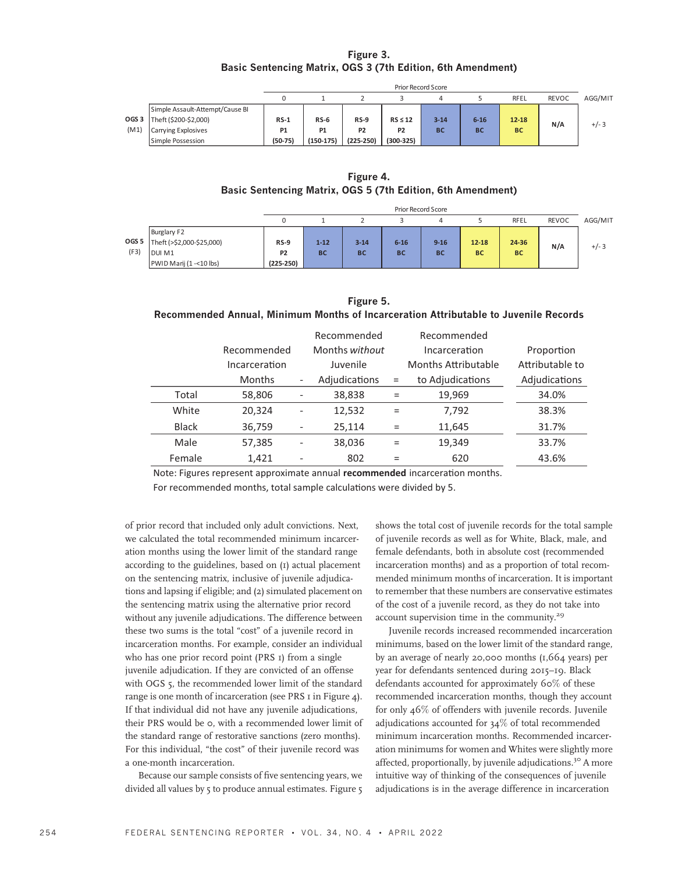| Figure 3.                                                   |
|-------------------------------------------------------------|
| Basic Sentencing Matrix, OGS 3 (7th Edition, 6th Amendment) |

|                  |                                 | <b>Prior Record Score</b> |             |                |                |           |           |             |              |         |
|------------------|---------------------------------|---------------------------|-------------|----------------|----------------|-----------|-----------|-------------|--------------|---------|
|                  |                                 |                           |             |                |                |           |           | <b>RFEL</b> | <b>REVOC</b> | AGG/MIT |
|                  | Simple Assault-Attempt/Cause BI |                           |             |                |                |           |           |             |              |         |
| OGS <sub>3</sub> | Theft (\$200-\$2,000)           | $RS-1$                    | $RS-6$      | <b>RS-9</b>    | $RS \leq 12$   | $3 - 14$  | $6 - 16$  | $12 - 18$   | N/A          | $+/-3$  |
| (M1)             | Carrying Explosives             | <b>P1</b>                 | <b>P1</b>   | P <sub>2</sub> | P <sub>2</sub> | <b>BC</b> | <b>BC</b> | <b>BC</b>   |              |         |
|                  | Simple Possession               | $(50-75)$                 | $(150-175)$ | $(225-250)$    | $(300-325)$    |           |           |             |              |         |

Figure 4. Basic Sentencing Matrix, OGS 5 (7th Edition, 6th Amendment)

|      |                                 |                | <b>Prior Record Score</b> |           |           |           |           |             |              |         |
|------|---------------------------------|----------------|---------------------------|-----------|-----------|-----------|-----------|-------------|--------------|---------|
|      |                                 | 0              |                           |           |           | 4         |           | <b>RFEL</b> | <b>REVOC</b> | AGG/MIT |
|      | Burglary F2                     |                |                           |           |           |           |           |             |              |         |
|      | OGS 5 Theft (>\$2,000-\$25,000) | <b>RS-9</b>    | $1 - 12$                  | $3 - 14$  | $6 - 16$  | $9 - 16$  | $12 - 18$ | 24-36       | N/A          | $+/-3$  |
| (F3) | DUI M1                          | P <sub>2</sub> | <b>BC</b>                 | <b>BC</b> | <b>BC</b> | <b>BC</b> | <b>BC</b> | <b>BC</b>   |              |         |
|      | PWID Marij (1-<10 lbs)          | $(225-250)$    |                           |           |           |           |           |             |              |         |

| Figure 5.                                                                            |  |
|--------------------------------------------------------------------------------------|--|
| Recommended Annual, Minimum Months of Incarceration Attributable to Juvenile Records |  |

|              |               |                              | Recommended    |     | Recommended                |                 |
|--------------|---------------|------------------------------|----------------|-----|----------------------------|-----------------|
|              | Recommended   |                              | Months without |     | Incarceration              | Proportion      |
|              | Incarceration |                              | Juvenile       |     | <b>Months Attributable</b> | Attributable to |
|              | <b>Months</b> |                              | Adjudications  | $=$ | to Adjudications           | Adjudications   |
| Total        | 58,806        | $\overline{\phantom{a}}$     | 38,838         |     | 19,969                     | 34.0%           |
| White        | 20,324        |                              | 12,532         | $=$ | 7,792                      | 38.3%           |
| <b>Black</b> | 36,759        | $\qquad \qquad \blacksquare$ | 25,114         |     | 11,645                     | 31.7%           |
| Male         | 57,385        |                              | 38,036         | $=$ | 19,349                     | 33.7%           |
| Female       | 1,421         | $\overline{\phantom{0}}$     | 802            |     | 620                        | 43.6%           |
|              |               |                              |                |     |                            |                 |

Note: Figures represent approximate annual **recommended** incarceration months.

For recommended months, total sample calculations were divided by 5.

of prior record that included only adult convictions. Next, we calculated the total recommended minimum incarceration months using the lower limit of the standard range according to the guidelines, based on (1) actual placement on the sentencing matrix, inclusive of juvenile adjudications and lapsing if eligible; and (2) simulated placement on the sentencing matrix using the alternative prior record without any juvenile adjudications. The difference between these two sums is the total "cost" of a juvenile record in incarceration months. For example, consider an individual who has one prior record point (PRS 1) from a single juvenile adjudication. If they are convicted of an offense with OGS 5, the recommended lower limit of the standard range is one month of incarceration (see PRS I in Figure 4). If that individual did not have any juvenile adjudications, their PRS would be 0, with a recommended lower limit of the standard range of restorative sanctions (zero months). For this individual, "the cost" of their juvenile record was a one-month incarceration.

Because our sample consists of five sentencing years, we divided all values by 5 to produce annual estimates. Figure 5

shows the total cost of juvenile records for the total sample of juvenile records as well as for White, Black, male, and female defendants, both in absolute cost (recommended incarceration months) and as a proportion of total recommended minimum months of incarceration. It is important to remember that these numbers are conservative estimates of the cost of a juvenile record, as they do not take into account supervision time in the community.<sup>29</sup>

Juvenile records increased recommended incarceration minimums, based on the lower limit of the standard range, by an average of nearly 20,000 months (1,664 years) per year for defendants sentenced during 2015–19. Black defendants accounted for approximately 60% of these recommended incarceration months, though they account for only 46% of offenders with juvenile records. Juvenile adjudications accounted for 34% of total recommended minimum incarceration months. Recommended incarceration minimums for women and Whites were slightly more affected, proportionally, by juvenile adjudications.<sup>30</sup> A more intuitive way of thinking of the consequences of juvenile adjudications is in the average difference in incarceration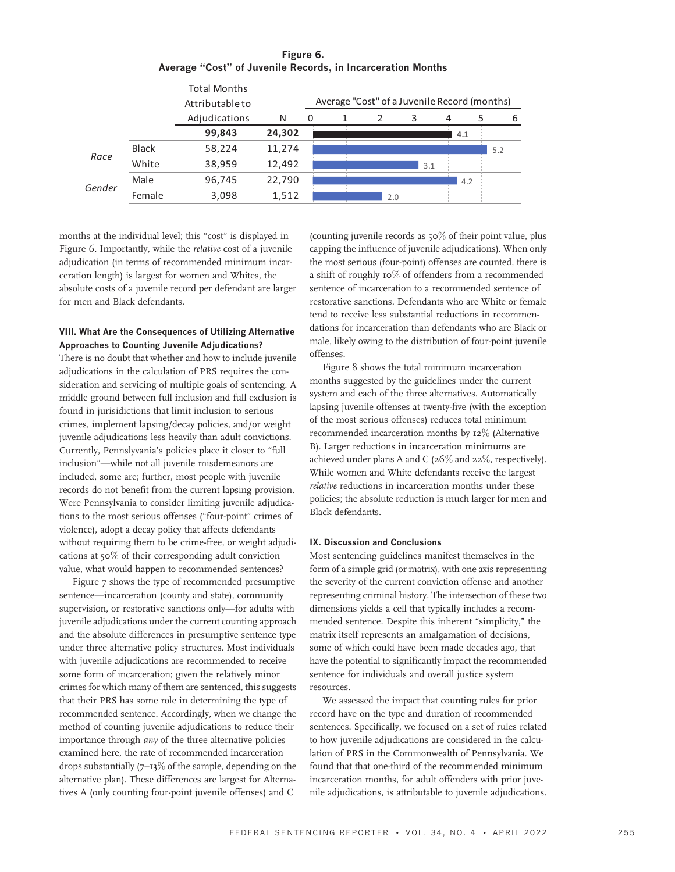# Figure 6. Average "Cost" of Juvenile Records, in Incarceration Months

|        |              | <b>Total Months</b><br>Attributableto |        |   | Average "Cost" of a Juvenile Record (months) |     |     |     |     |     |
|--------|--------------|---------------------------------------|--------|---|----------------------------------------------|-----|-----|-----|-----|-----|
|        |              | Adjudications                         | N      | 0 |                                              |     | 3   | 4   | 5   | h   |
|        |              | 99,843                                | 24,302 |   |                                              |     |     | 4.1 |     |     |
|        | <b>Black</b> | 58,224                                | 11,274 |   |                                              |     |     |     |     | 5.2 |
| Race   | White        | 38,959                                | 12,492 |   |                                              |     | 3.1 |     |     |     |
| Gender | Male         | 96,745                                | 22,790 |   |                                              |     |     |     | 4.2 |     |
|        | Female       | 3,098                                 | 1,512  |   |                                              | 2.0 |     |     |     |     |

months at the individual level; this "cost" is displayed in Figure 6. Importantly, while the relative cost of a juvenile adjudication (in terms of recommended minimum incarceration length) is largest for women and Whites, the absolute costs of a juvenile record per defendant are larger for men and Black defendants.

## VIII. What Are the Consequences of Utilizing Alternative Approaches to Counting Juvenile Adjudications?

There is no doubt that whether and how to include juvenile adjudications in the calculation of PRS requires the consideration and servicing of multiple goals of sentencing. A middle ground between full inclusion and full exclusion is found in jurisidictions that limit inclusion to serious crimes, implement lapsing/decay policies, and/or weight juvenile adjudications less heavily than adult convictions. Currently, Pennslyvania's policies place it closer to "full inclusion"—while not all juvenile misdemeanors are included, some are; further, most people with juvenile records do not benefit from the current lapsing provision. Were Pennsylvania to consider limiting juvenile adjudications to the most serious offenses ("four-point" crimes of violence), adopt a decay policy that affects defendants without requiring them to be crime-free, or weight adjudications at 50% of their corresponding adult conviction value, what would happen to recommended sentences?

Figure 7 shows the type of recommended presumptive sentence—incarceration (county and state), community supervision, or restorative sanctions only—for adults with juvenile adjudications under the current counting approach and the absolute differences in presumptive sentence type under three alternative policy structures. Most individuals with juvenile adjudications are recommended to receive some form of incarceration; given the relatively minor crimes for which many of them are sentenced, this suggests that their PRS has some role in determining the type of recommended sentence. Accordingly, when we change the method of counting juvenile adjudications to reduce their importance through any of the three alternative policies examined here, the rate of recommended incarceration drops substantially  $(7-13\%$  of the sample, depending on the alternative plan). These differences are largest for Alternatives A (only counting four-point juvenile offenses) and C

(counting juvenile records as  $50\%$  of their point value, plus capping the influence of juvenile adjudications). When only the most serious (four-point) offenses are counted, there is a shift of roughly 10% of offenders from a recommended sentence of incarceration to a recommended sentence of restorative sanctions. Defendants who are White or female tend to receive less substantial reductions in recommendations for incarceration than defendants who are Black or male, likely owing to the distribution of four-point juvenile offenses.

Figure 8 shows the total minimum incarceration months suggested by the guidelines under the current system and each of the three alternatives. Automatically lapsing juvenile offenses at twenty-five (with the exception of the most serious offenses) reduces total minimum recommended incarceration months by 12% (Alternative B). Larger reductions in incarceration minimums are achieved under plans A and C (26% and 22%, respectively). While women and White defendants receive the largest relative reductions in incarceration months under these policies; the absolute reduction is much larger for men and Black defendants.

## IX. Discussion and Conclusions

Most sentencing guidelines manifest themselves in the form of a simple grid (or matrix), with one axis representing the severity of the current conviction offense and another representing criminal history. The intersection of these two dimensions yields a cell that typically includes a recommended sentence. Despite this inherent "simplicity," the matrix itself represents an amalgamation of decisions, some of which could have been made decades ago, that have the potential to significantly impact the recommended sentence for individuals and overall justice system resources.

We assessed the impact that counting rules for prior record have on the type and duration of recommended sentences. Specifically, we focused on a set of rules related to how juvenile adjudications are considered in the calculation of PRS in the Commonwealth of Pennsylvania. We found that that one-third of the recommended minimum incarceration months, for adult offenders with prior juvenile adjudications, is attributable to juvenile adjudications.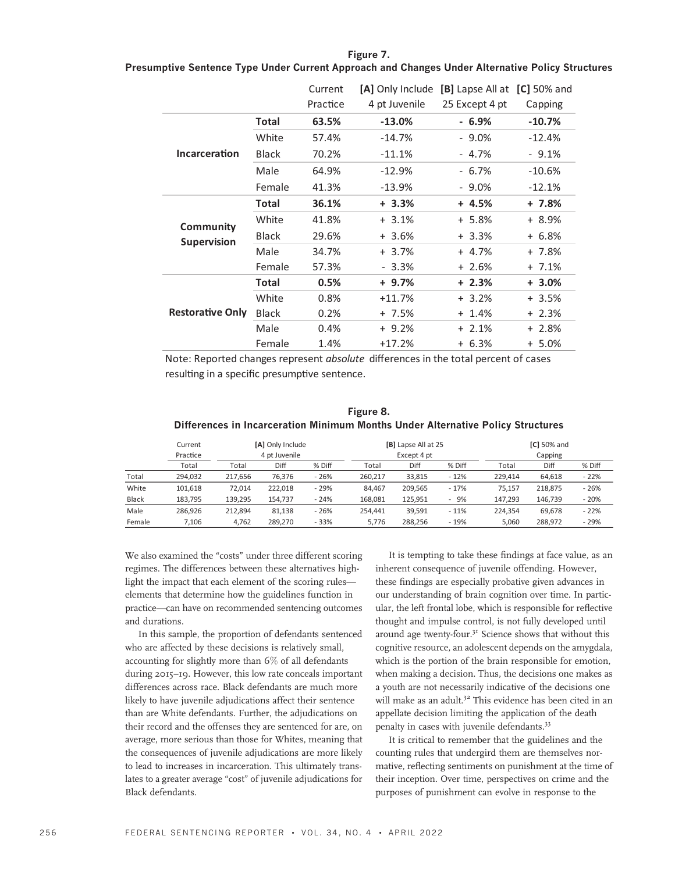Figure 7. Presumptive Sentence Type Under Current Approach and Changes Under Alternative Policy Structures

|                         |              | Current  | [A] Only Include [B] Lapse All at [C] 50% and |                |          |
|-------------------------|--------------|----------|-----------------------------------------------|----------------|----------|
|                         |              | Practice | 4 pt Juvenile                                 | 25 Except 4 pt | Capping  |
|                         | Total        | 63.5%    | $-13.0%$                                      | $-6.9%$        | $-10.7%$ |
|                         | White        | 57.4%    | $-14.7%$                                      | $-9.0\%$       | $-12.4%$ |
| Incarceration           | <b>Black</b> | 70.2%    | $-11.1%$                                      | $-4.7%$        | $-9.1%$  |
|                         | Male         | 64.9%    | $-12.9%$                                      | $-6.7%$        | $-10.6%$ |
|                         | Female       | 41.3%    | $-13.9%$                                      | $-9.0\%$       | $-12.1%$ |
|                         | <b>Total</b> | 36.1%    | $+3.3%$                                       | $+4.5%$        | $+7.8%$  |
| <b>Community</b>        | White        | 41.8%    | $+3.1%$                                       | $+ 5.8%$       | $+8.9%$  |
| <b>Supervision</b>      | <b>Black</b> | 29.6%    | + 3.6%                                        | $+3.3%$        | $+6.8%$  |
|                         | Male         | 34.7%    | $+3.7%$                                       | $+4.7%$        | $+7.8%$  |
|                         | Female       | 57.3%    | $-3.3%$                                       | $+2.6%$        | $+7.1%$  |
|                         | Total        | 0.5%     | $+9.7%$                                       | $+2.3%$        | $+3.0%$  |
|                         | White        | 0.8%     | $+11.7%$                                      | $+3.2%$        | $+3.5%$  |
| <b>Restorative Only</b> | <b>Black</b> | 0.2%     | + 7.5%                                        | $+ 1.4%$       | $+2.3%$  |
|                         | Male         | 0.4%     | $+9.2%$                                       | $+2.1%$        | $+2.8%$  |
|                         | Female       | 1.4%     | $+17.2%$                                      | $+6.3%$        | $+ 5.0%$ |

Note: Reported changes represent *absolute* differences in the total percent of cases resulting in a specific presumptive sentence.

# Figure 8. Differences in Incarceration Minimum Months Under Alternative Policy Structures

|        | Current<br>Practice | [A] Only Include<br>4 pt Juvenile |         |        | [B] Lapse All at 25<br>Except 4 pt |         | $[C]$ 50% and<br>Capping |         |         |        |
|--------|---------------------|-----------------------------------|---------|--------|------------------------------------|---------|--------------------------|---------|---------|--------|
|        | Total               | Total                             | Diff    | % Diff | Total                              | Diff    | % Diff                   | Total   | Diff    | % Diff |
| Total  | 294.032             | 217.656                           | 76.376  | $-26%$ | 260.217                            | 33.815  | $-12%$                   | 229.414 | 64.618  | $-22%$ |
| White  | 101.618             | 72.014                            | 222.018 | $-29%$ | 84.467                             | 209.565 | $-17%$                   | 75.157  | 218.875 | $-26%$ |
| Black  | 183.795             | 139.295                           | 154.737 | $-24%$ | 168.081                            | 125.951 | $-9%$                    | 147.293 | 146.739 | $-20%$ |
| Male   | 286.926             | 212.894                           | 81.138  | $-26%$ | 254.441                            | 39.591  | $-11%$                   | 224.354 | 69.678  | $-22%$ |
| Female | 7.106               | 4.762                             | 289.270 | $-33%$ | 5.776                              | 288.256 | $-19%$                   | 5.060   | 288.972 | $-29%$ |

We also examined the "costs" under three different scoring regimes. The differences between these alternatives highlight the impact that each element of the scoring rules elements that determine how the guidelines function in practice—can have on recommended sentencing outcomes and durations.

In this sample, the proportion of defendants sentenced who are affected by these decisions is relatively small, accounting for slightly more than 6% of all defendants during 2015–19. However, this low rate conceals important differences across race. Black defendants are much more likely to have juvenile adjudications affect their sentence than are White defendants. Further, the adjudications on their record and the offenses they are sentenced for are, on average, more serious than those for Whites, meaning that the consequences of juvenile adjudications are more likely to lead to increases in incarceration. This ultimately translates to a greater average "cost" of juvenile adjudications for Black defendants.

It is tempting to take these findings at face value, as an inherent consequence of juvenile offending. However, these findings are especially probative given advances in our understanding of brain cognition over time. In particular, the left frontal lobe, which is responsible for reflective thought and impulse control, is not fully developed until around age twenty-four.<sup>31</sup> Science shows that without this cognitive resource, an adolescent depends on the amygdala, which is the portion of the brain responsible for emotion, when making a decision. Thus, the decisions one makes as a youth are not necessarily indicative of the decisions one will make as an adult.<sup>32</sup> This evidence has been cited in an appellate decision limiting the application of the death penalty in cases with juvenile defendants.<sup>33</sup>

It is critical to remember that the guidelines and the counting rules that undergird them are themselves normative, reflecting sentiments on punishment at the time of their inception. Over time, perspectives on crime and the purposes of punishment can evolve in response to the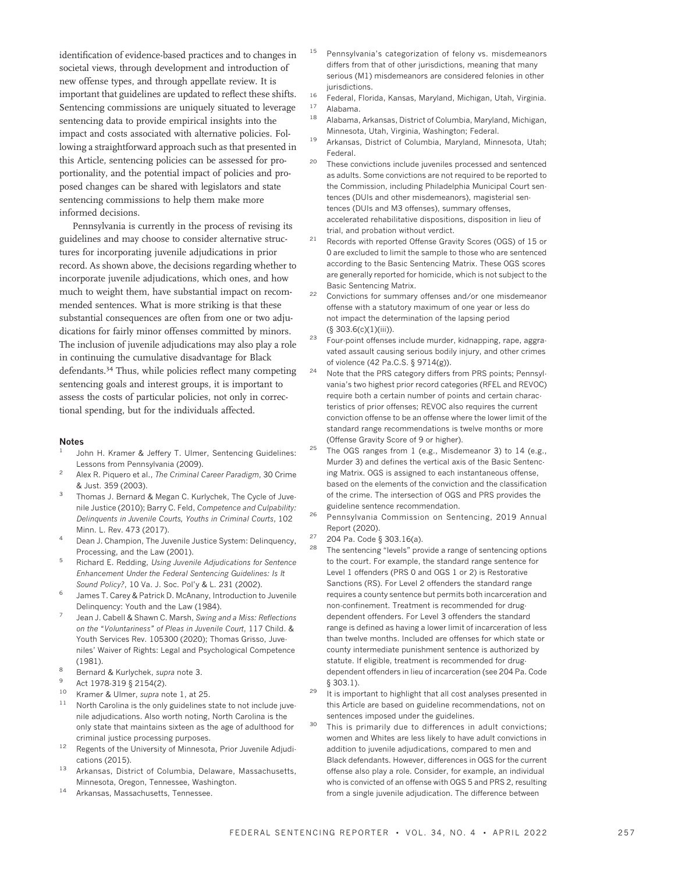identification of evidence-based practices and to changes in societal views, through development and introduction of new offense types, and through appellate review. It is important that guidelines are updated to reflect these shifts. Sentencing commissions are uniquely situated to leverage sentencing data to provide empirical insights into the impact and costs associated with alternative policies. Following a straightforward approach such as that presented in this Article, sentencing policies can be assessed for proportionality, and the potential impact of policies and proposed changes can be shared with legislators and state sentencing commissions to help them make more informed decisions.

Pennsylvania is currently in the process of revising its guidelines and may choose to consider alternative structures for incorporating juvenile adjudications in prior record. As shown above, the decisions regarding whether to incorporate juvenile adjudications, which ones, and how much to weight them, have substantial impact on recommended sentences. What is more striking is that these substantial consequences are often from one or two adjudications for fairly minor offenses committed by minors. The inclusion of juvenile adjudications may also play a role in continuing the cumulative disadvantage for Black defendants.<sup>34</sup> Thus, while policies reflect many competing sentencing goals and interest groups, it is important to assess the costs of particular policies, not only in correctional spending, but for the individuals affected.

#### Notes

- John H. Kramer & Jeffery T. Ulmer, Sentencing Guidelines: Lessons from Pennsylvania (2009).
- Alex R. Piquero et al., The Criminal Career Paradigm, 30 Crime & Just. 359 (2003).
- Thomas J. Bernard & Megan C. Kurlychek, The Cycle of Juvenile Justice (2010); Barry C. Feld, Competence and Culpability: Delinquents in Juvenile Courts, Youths in Criminal Courts, 102 Minn. L. Rev. 473 (2017).
- Dean J. Champion, The Juvenile Justice System: Delinquency, Processing, and the Law (2001).
- Richard E. Redding, Using Juvenile Adjudications for Sentence Enhancement Under the Federal Sentencing Guidelines: Is It Sound Policy?, 10 Va. J. Soc. Pol'y & L. 231 (2002).
- James T. Carey & Patrick D. McAnany, Introduction to Juvenile Delinquency: Youth and the Law (1984).
- Jean J. Cabell & Shawn C. Marsh, Swing and a Miss: Reflections on the "Voluntariness" of Pleas in Juvenile Court, 117 Child. & Youth Services Rev. 105300 (2020); Thomas Grisso, Juveniles' Waiver of Rights: Legal and Psychological Competence (1981).
- 8 Bernard & Kurlychek, supra note 3.
- $^{9}$  Act 1978-319 § 2154(2).
- Kramer & Ulmer, supra note 1, at 25.
- North Carolina is the only guidelines state to not include juvenile adjudications. Also worth noting, North Carolina is the only state that maintains sixteen as the age of adulthood for criminal justice processing purposes.
- <sup>12</sup> Regents of the University of Minnesota, Prior Juvenile Adjudications (2015).
- <sup>13</sup> Arkansas, District of Columbia, Delaware, Massachusetts, Minnesota, Oregon, Tennessee, Washington.
- Arkansas, Massachusetts, Tennessee.
- <sup>15</sup> Pennsylvania's categorization of felony vs. misdemeanors differs from that of other jurisdictions, meaning that many serious (M1) misdemeanors are considered felonies in other jurisdictions.
- 16 Federal, Florida, Kansas, Maryland, Michigan, Utah, Virginia.<br>17 Abbanas Alabama.
- <sup>18</sup> Alabama, Arkansas, District of Columbia, Maryland, Michigan, Minnesota, Utah, Virginia, Washington; Federal.
- 19 Arkansas, District of Columbia, Maryland, Minnesota, Utah; Federal.
- <sup>20</sup> These convictions include juveniles processed and sentenced as adults. Some convictions are not required to be reported to the Commission, including Philadelphia Municipal Court sentences (DUIs and other misdemeanors), magisterial sentences (DUIs and M3 offenses), summary offenses, accelerated rehabilitative dispositions, disposition in lieu of trial, and probation without verdict.
- <sup>21</sup> Records with reported Offense Gravity Scores (OGS) of 15 or 0 are excluded to limit the sample to those who are sentenced according to the Basic Sentencing Matrix. These OGS scores are generally reported for homicide, which is not subject to the Basic Sentencing Matrix.
- <sup>22</sup> Convictions for summary offenses and/or one misdemeanor offense with a statutory maximum of one year or less do not impact the determination of the lapsing period (§ 303.6(c)(1)(iii)).
- <sup>23</sup> Four-point offenses include murder, kidnapping, rape, aggravated assault causing serious bodily injury, and other crimes of violence (42 Pa.C.S. § 9714(g)).
- <sup>24</sup> Note that the PRS category differs from PRS points; Pennsylvania's two highest prior record categories (RFEL and REVOC) require both a certain number of points and certain characteristics of prior offenses; REVOC also requires the current conviction offense to be an offense where the lower limit of the standard range recommendations is twelve months or more (Offense Gravity Score of 9 or higher).
- <sup>25</sup> The OGS ranges from 1 (e.g., Misdemeanor 3) to 14 (e.g., Murder 3) and defines the vertical axis of the Basic Sentencing Matrix. OGS is assigned to each instantaneous offense, based on the elements of the conviction and the classification of the crime. The intersection of OGS and PRS provides the guideline sentence recommendation.
- <sup>26</sup> Pennsylvania Commission on Sentencing, 2019 Annual Report (2020).
- <sup>27</sup> 204 Pa. Code § 303.16(a).
	- The sentencing "levels" provide a range of sentencing options to the court. For example, the standard range sentence for Level 1 offenders (PRS 0 and OGS 1 or 2) is Restorative Sanctions (RS). For Level 2 offenders the standard range requires a county sentence but permits both incarceration and non-confinement. Treatment is recommended for drugdependent offenders. For Level 3 offenders the standard range is defined as having a lower limit of incarceration of less than twelve months. Included are offenses for which state or county intermediate punishment sentence is authorized by statute. If eligible, treatment is recommended for drugdependent offenders in lieu of incarceration (see 204 Pa. Code § 303.1).
- <sup>29</sup> It is important to highlight that all cost analyses presented in this Article are based on guideline recommendations, not on sentences imposed under the guidelines.
	- This is primarily due to differences in adult convictions; women and Whites are less likely to have adult convictions in addition to juvenile adjudications, compared to men and Black defendants. However, differences in OGS for the current offense also play a role. Consider, for example, an individual who is convicted of an offense with OGS 5 and PRS 2, resulting from a single juvenile adjudication. The difference between